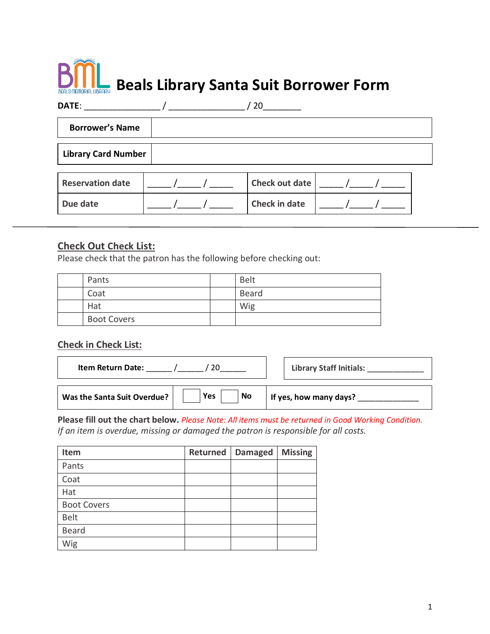# **Beals Library Santa Suit Borrower Form**

| DATE:                      |  |  | 20             |  |  |
|----------------------------|--|--|----------------|--|--|
| <b>Borrower's Name</b>     |  |  |                |  |  |
| <b>Library Card Number</b> |  |  |                |  |  |
| <b>Reservation date</b>    |  |  | Check out date |  |  |

Due date  $\vert$  \_\_\_\_\_ /\_\_\_\_\_ / \_\_\_\_\_ | Check in date  $\vert$  \_\_\_\_\_ /\_\_\_\_\_ / \_\_\_\_

#### **Check Out Check List:**

Please check that the patron has the following before checking out:

| Pants              | <b>Belt</b>  |
|--------------------|--------------|
| Coat               | <b>Beard</b> |
| Hat                | Wig          |
| <b>Boot Covers</b> |              |

### **Check in Check List:**

| <b>Item Return Date:</b>    |                         | <b>Library Staff Initials:</b> |
|-----------------------------|-------------------------|--------------------------------|
| Was the Santa Suit Overdue? | <b>Yes</b><br><b>No</b> | If yes, how many days?         |

**Please fill out the chart below.** *Please Note: All items must be returned in Good Working Condition. If an item is overdue, missing or damaged the patron is responsible for all costs.* 

| Item               | Returned | <b>Damaged</b> | <b>Missing</b> |
|--------------------|----------|----------------|----------------|
| Pants              |          |                |                |
| Coat               |          |                |                |
| Hat                |          |                |                |
| <b>Boot Covers</b> |          |                |                |
| <b>Belt</b>        |          |                |                |
| <b>Beard</b>       |          |                |                |
| Wig                |          |                |                |